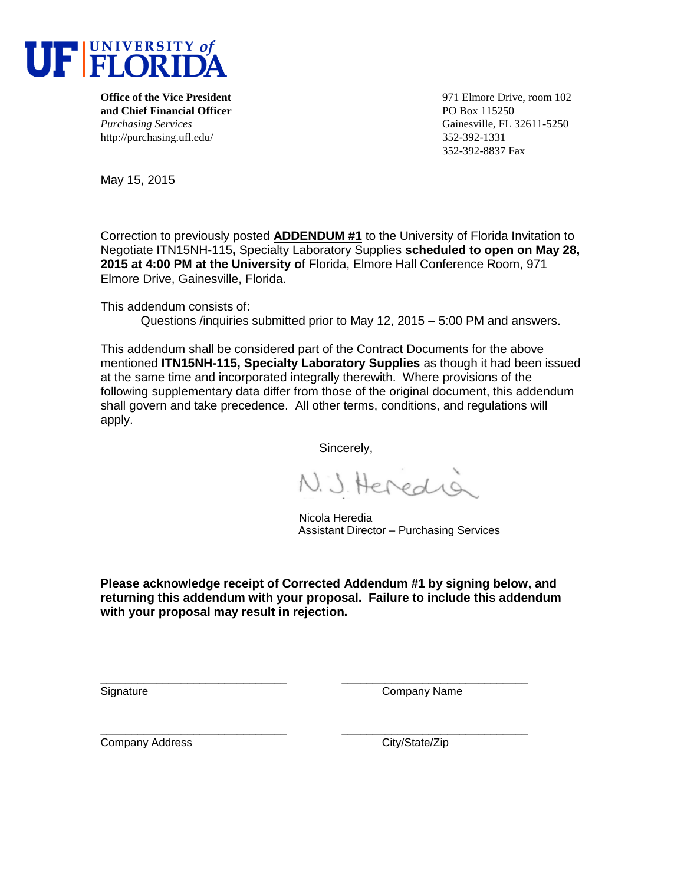

**and Chief Financial Officer PO Box 115250** *Purchasing Services* Gainesville, FL 32611-5250 http://purchasing.ufl.edu/ 352-392-1331

**Office of the Vice President** 102 352-392-8837 Fax

May 15, 2015

Correction to previously posted **ADDENDUM #1** to the University of Florida Invitation to Negotiate ITN15NH-115**,** Specialty Laboratory Supplies **scheduled to open on May 28, 2015 at 4:00 PM at the University o**f Florida, Elmore Hall Conference Room, 971 Elmore Drive, Gainesville, Florida.

This addendum consists of:

Questions /inquiries submitted prior to May 12, 2015 – 5:00 PM and answers.

This addendum shall be considered part of the Contract Documents for the above mentioned **ITN15NH-115, Specialty Laboratory Supplies** as though it had been issued at the same time and incorporated integrally therewith. Where provisions of the following supplementary data differ from those of the original document, this addendum shall govern and take precedence. All other terms, conditions, and regulations will apply.

Sincerely,

N. J. Heredia

 Nicola Heredia Assistant Director – Purchasing Services

**Please acknowledge receipt of Corrected Addendum #1 by signing below, and returning this addendum with your proposal. Failure to include this addendum with your proposal may result in rejection.**

\_\_\_\_\_\_\_\_\_\_\_\_\_\_\_\_\_\_\_\_\_\_\_\_\_\_\_\_\_\_ \_\_\_\_\_\_\_\_\_\_\_\_\_\_\_\_\_\_\_\_\_\_\_\_\_\_\_\_\_\_

Signature Company Name

Company Address Company Address City/State/Zip

\_\_\_\_\_\_\_\_\_\_\_\_\_\_\_\_\_\_\_\_\_\_\_\_\_\_\_\_\_\_ \_\_\_\_\_\_\_\_\_\_\_\_\_\_\_\_\_\_\_\_\_\_\_\_\_\_\_\_\_\_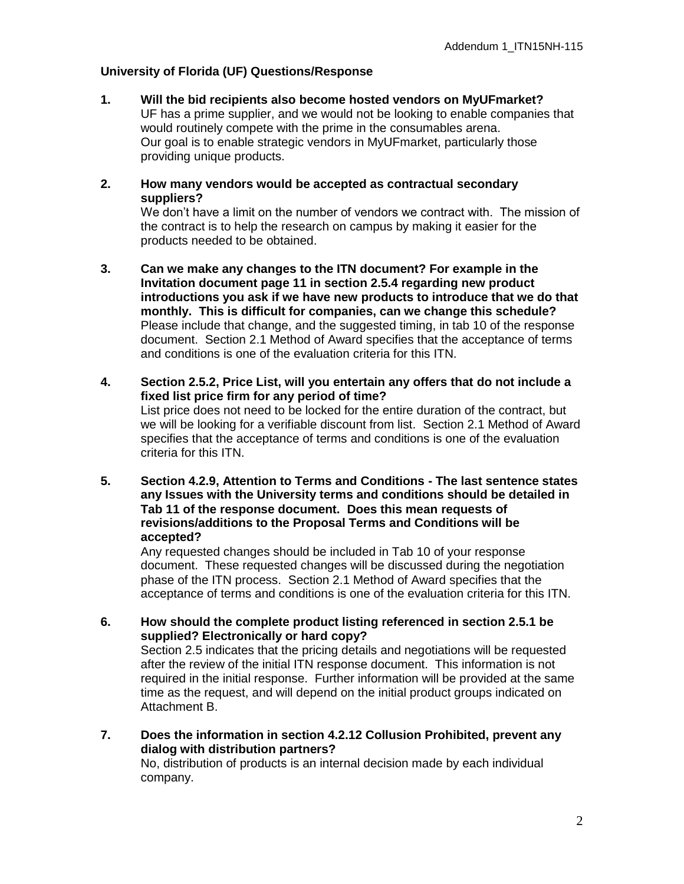## **University of Florida (UF) Questions/Response**

- **1. Will the bid recipients also become hosted vendors on MyUFmarket?** UF has a prime supplier, and we would not be looking to enable companies that would routinely compete with the prime in the consumables arena. Our goal is to enable strategic vendors in MyUFmarket, particularly those providing unique products.
- **2. How many vendors would be accepted as contractual secondary suppliers?**

We don't have a limit on the number of vendors we contract with. The mission of the contract is to help the research on campus by making it easier for the products needed to be obtained.

- **3. Can we make any changes to the ITN document? For example in the Invitation document page 11 in section 2.5.4 regarding new product introductions you ask if we have new products to introduce that we do that monthly. This is difficult for companies, can we change this schedule?** Please include that change, and the suggested timing, in tab 10 of the response document. Section 2.1 Method of Award specifies that the acceptance of terms and conditions is one of the evaluation criteria for this ITN.
- **4. Section 2.5.2, Price List, will you entertain any offers that do not include a fixed list price firm for any period of time?** List price does not need to be locked for the entire duration of the contract, but we will be looking for a verifiable discount from list. Section 2.1 Method of Award specifies that the acceptance of terms and conditions is one of the evaluation criteria for this ITN.
- **5. Section 4.2.9, Attention to Terms and Conditions - The last sentence states any Issues with the University terms and conditions should be detailed in Tab 11 of the response document. Does this mean requests of revisions/additions to the Proposal Terms and Conditions will be accepted?**

Any requested changes should be included in Tab 10 of your response document. These requested changes will be discussed during the negotiation phase of the ITN process. Section 2.1 Method of Award specifies that the acceptance of terms and conditions is one of the evaluation criteria for this ITN.

**6. How should the complete product listing referenced in section 2.5.1 be supplied? Electronically or hard copy?**

Section 2.5 indicates that the pricing details and negotiations will be requested after the review of the initial ITN response document. This information is not required in the initial response. Further information will be provided at the same time as the request, and will depend on the initial product groups indicated on Attachment B.

**7. Does the information in section 4.2.12 Collusion Prohibited, prevent any dialog with distribution partners?** No, distribution of products is an internal decision made by each individual company.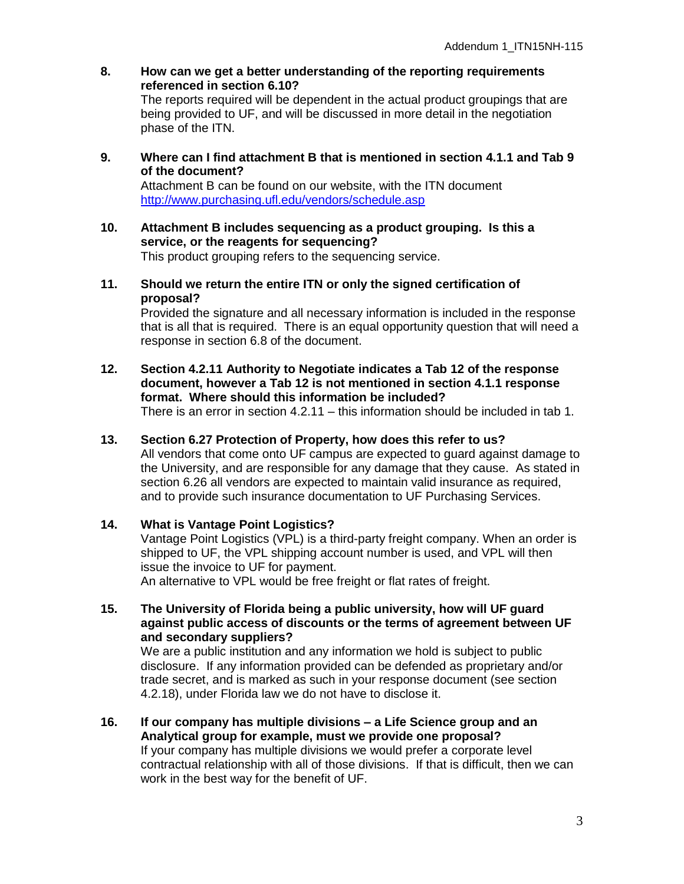**8. How can we get a better understanding of the reporting requirements referenced in section 6.10?** The reports required will be dependent in the actual product groupings that are

being provided to UF, and will be discussed in more detail in the negotiation phase of the ITN.

**9. Where can I find attachment B that is mentioned in section 4.1.1 and Tab 9 of the document?**

Attachment B can be found on our website, with the ITN document <http://www.purchasing.ufl.edu/vendors/schedule.asp>

**10. Attachment B includes sequencing as a product grouping. Is this a service, or the reagents for sequencing?**

This product grouping refers to the sequencing service.

**11. Should we return the entire ITN or only the signed certification of proposal?**

Provided the signature and all necessary information is included in the response that is all that is required. There is an equal opportunity question that will need a response in section 6.8 of the document.

**12. Section 4.2.11 Authority to Negotiate indicates a Tab 12 of the response document, however a Tab 12 is not mentioned in section 4.1.1 response format. Where should this information be included?**

There is an error in section 4.2.11 – this information should be included in tab 1.

**13. Section 6.27 Protection of Property, how does this refer to us?**

All vendors that come onto UF campus are expected to guard against damage to the University, and are responsible for any damage that they cause. As stated in section 6.26 all vendors are expected to maintain valid insurance as required, and to provide such insurance documentation to UF Purchasing Services.

**14. What is Vantage Point Logistics?** Vantage Point Logistics (VPL) is a third-party freight company. When an order is

shipped to UF, the VPL shipping account number is used, and VPL will then issue the invoice to UF for payment. An alternative to VPL would be free freight or flat rates of freight.

**15. The University of Florida being a public university, how will UF guard against public access of discounts or the terms of agreement between UF and secondary suppliers?**

We are a public institution and any information we hold is subject to public disclosure. If any information provided can be defended as proprietary and/or trade secret, and is marked as such in your response document (see section 4.2.18), under Florida law we do not have to disclose it.

**16. If our company has multiple divisions – a Life Science group and an Analytical group for example, must we provide one proposal?** If your company has multiple divisions we would prefer a corporate level contractual relationship with all of those divisions. If that is difficult, then we can work in the best way for the benefit of UF.